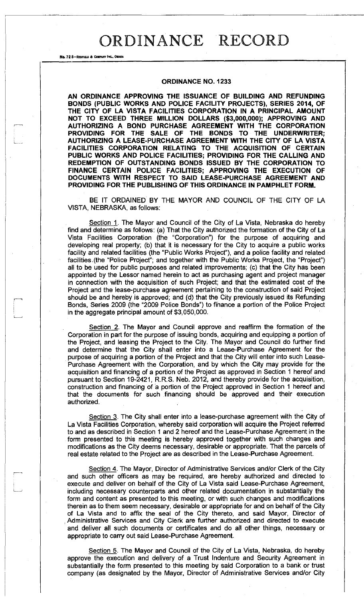**ORDINANCE NO. 1233** 

No. 72 8-REDFIELD & COMPANY INC., OMAHA

**AN ORDINANCE APPROVING THE ISSUANCE OF BUILDING AND REFUNDING BONDS (PUBLIC WORKS AND POLICE FACILITY PROJECTS), SERIES 2014, OF THE CITY OF LA VISTA FACILITIES CORPORATION IN A PRINCIPAL AMOUNT NOT TO EXCEED THREE MILLION DOLLARS (\$3,000,000); APPROVING AND AUTHORIZING A BOND PURCHASE AGREEMENT WITH THE CORPORATION PROVIDING FOR THE SALE OF THE BONDS TO THE UNDERWRITER; AUTHORIZING A LEASE-PURCHASE AGREEMENT WITH THE CITY OF LA VISTA FACILITIES CORPORATION RELATING TO THE ACQUISITION OF CERTAIN PUBLIC WORKS AND POLICE FACILITIES; PROVIDING FOR THE CALLING AND REDEMPTION OF OUTSTANDING BONDS ISSUED BY THE CORPORATION TO FINANCE CERTAIN POLICE FACILITIES; APPROVING THE EXECUTION OF DOCUMENTS WITH RESPECT TO SAID LEASE-PURCHASE AGREEMENT AND PROVIDING FOR THE PUBLISHING OF THIS ORDINANCE IN PAMPHLET FORM.** 

BE IT ORDAINED BY THE MAYOR AND COUNCIL OF THE CITY OF LA VISTA, NEBRASKA, as follows:

Section 1. The Mayor and Council of the City of La Vista, Nebraska do hereby find and determine as follows: (a) That the City authorized the formation of the City of La Vista Facilities Corporation (the "Corporation") for the purpose of acquiring and developing real property; (b) that it is necessary for the City to acquire a public works facility and related facilities (the "Public Works Project"), and a police facility and related facilities.(the "Police Project"; and together with the Public Works Project, the "Project") all to be used for public purposes and related improvements; (c) that the City has been appointed by the Lessor named herein to act as purchasing agent and project manager in connection with the acquisition of such Project; and that the estimated cost of the Project and the lease-purchase agreement pertaining to the construction of said Project should be and hereby is approved; and (d) that the City previously issued its Refunding Bonds, Series 2009 (the "2009 Police Bonds") to finance a portion of the Police Project in the aggregate principal amount of \$3,050,000.

Section 2. The Mayor and Council approve and reaffirm the formation of the Corporation in part for the purpose of issuing bonds, acquiring and equipping a portion of the Project, and leasing the Project to the City. The Mayor and Council do further find and determine that the City shall enter into a Lease-Purchase Agreement for the purpose of acquiring a portion of the Project and that the City will enter into such Lease-Purchase Agreement with the Corporation, and by which the City may provide for the acquisition and financing of a portion of the Project as approved in Section 1 hereof and pursuant to Section 19-2421, R.R.S. Neb. 2012, and thereby provide for the acquisition, construction and financing of a portion of the Project approved in Section 1 hereof and that the documents for such financing should be approved and their execution authorized.

Section 3. The City shall enter into a lease-purchase agreement with the City of La Vista Facilities Corporation, whereby said corporation will acquire the Project referred to and as described in Section 1 and 2 hereof and the Lease-Purchase Agreement in the form presented to this meeting is hereby approved together with such changes and modifications as the City deems necessary, desirable or appropriate. That the parcels of real estate related to the Project are as described in the Lease-Purchase Agreement.

Section 4. The Mayor, Director of Administrative Services and/or Clerk of the City and such other officers as may be required, are hereby authorized and directed to execute and deliver on behalf of the City of La Vista said Lease-Purchase Agreement, including necessary counterparts and other related documentation in substantially the form and content as presented to this meeting, or with such changes and modifications therein as to them seem necessary, desirable or appropriate for and on behalf of the City of La Vista and to affix the seal of the City thereto, and said Mayor, Director of , Administrative Services and City Clerk are further authorized and directed to execute and deliver all such documents or certificates and do all other things, necessary or appropriate to carry out said Lease-Purchase Agreement.

Section 5. The Mayor and Council of the City of La Vista, Nebraska, do hereby approve the execution and delivery of a Trust Indenture and Security Agreement in substantially the form presented to this meeting by said Corporation to a bank or trust company (as designated by the Mayor, Director of Administrative Services and/or City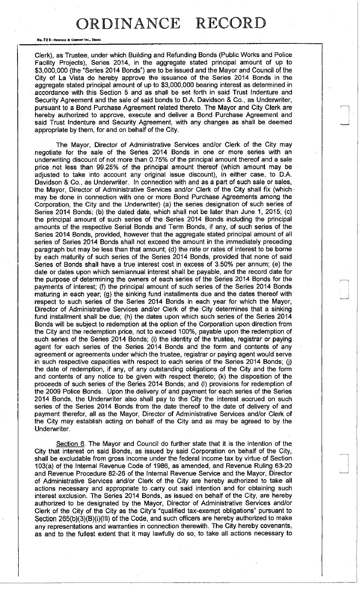No. 72 8-REDFIELD & COMPANY INC., OHAH

Clerk), as Trustee, under which Building and Refunding Bonds (Public Works and Police Facility Projects), Series 2014, in the aggregate stated principal amount of up to \$3,000,000 (the "Series 2014 Bonds") are to be issued and the Mayor and Council of the City of La Vista do hereby approve the issuance of the Series 2014 Bonds in the aggregate stated principal amount of up to \$3,000,000 bearing interest as determined in accordance with this Section 5 and as shall be set forth in said Trust Indenture and Security Agreement and the sale of said bonds to D.A. Davidson & Co., as Underwriter, pursuant to a Bond Purchase Agreement related thereto. The Mayor and City Clerk are hereby authorized to approve, execute and deliver a Bond Purchase Agreement and said Trust Indenture and Security Agreement, with any changes as shall be deemed appropriate by them, for and on behalf of the City.

The Mayor, Director of Administrative Services and/or Clerk of the City may negotiate for the sale of the Series 2014 Bonds in one or more series with an underwriting discount of not more than 0.75% of the principal amount thereof and a sale price not less than 99.25% of the principal amount thereof (which amount may be adjusted to take into account any original issue discount), in either case, to D.A. Davidson & Co., as Underwriter. In connection with and as a part of such sale or sales, the Mayor, Director of Administrative Services and/or Clerk of the City shall fix (which may be done in connection with one or more Bond Purchase Agreements among the Corporation, the City and the Underwriter) (a) the series designation of such series of Series 2014 Bonds; (b) the dated date, which shall not be later than June 1, 2015; (c) the principal amount of such series of the Series 2014 Bonds including the principal amounts of the respective Serial Bonds and Term Bonds, if any, of such series of the Series 2014 Bonds, provided, however that the aggregate stated principal amount of all series of Series 2014 Bonds shall not exceed the amount in the immediately preceding paragraph but may be less than that amount; (d) the rate or rates of interest to be borne by each maturity of such series of the Series 2014 Bonds, provided that none of said Series of Bonds shall have a true interest cost in excess of 3.50% per annum; (e) the date or dates upon which semiannual interest shall be payable, and the record date for the purpose of determining the owners of each series of the Series 2014 Bonds for the payments of interest; (f) the principal amount of such series of the Series 2014 Bonds maturing in each year; (g) the sinking fund installments due and the dates thereof with respect to such series of the Series 2014 Bonds in each year for which the Mayor, Director of Administrative Services and/or Clerk of the City determines that a sinking fund installment shall be due; (h) the dates upon which such series of the Series 2014 Bonds will be subject to redemption at the option of the Corporation upon direction from the City and the redemption price, not to exceed 100%, payable upon the redemption of such series of the Series 2014 Bonds; (i) the identity of the trustee, registrar or paying agent for each series of the Series 2014 Bonds and the form and contents of any agreement or agreements under which the trustee, registrar or paying agent would serve in such respective capacities with respect to each series of the Series 2014 Bonds; (j) the date of redemption, if any, of any outstanding obligations of the City and the form and contents of any notice to be given with respect thereto; (k) the disposition of the proceeds of such series of the Series 2014 Bonds; and (I) provisions for redemption of the 2009 Police Bonds. Upon the delivery of and payment for each series of the Series 2014 Bonds, the Underwriter also shall pay to the City the interest accrued on such series of the Series 2014 Bonds from the date thereof to the date of delivery of and payment therefor, all as the Mayor, Director of Administrative Services and/or Clerk of the City may establish acting on behalf of the City and as may be agreed to by the Underwriter.

Section 6. The Mayor and Council do further state that it is the intention of the City that interest on said Bonds, as issued by said Corporation on behalf of the City, shall be excludable from gross income under the federal income tax by virtue of Section 103(a) of the Internal Revenue Code of 1986, as amended, and Revenue Ruling 63-20 and Revenue Procedure 82-26 of the Internal Revenue Service and the Mayor, Director of Administrative Services and/or Clerk of the City are hereby authorized to take all actions necessary and appropriate to carry out said intention and for obtaining such interest exclusion. The Series 2014 Bonds, as issued on behalf of the City, are hereby authorized to be designated by the Mayor, Director of Administrative Services and/or Clerk of the City of the City as the City's "qualified tax-exempt obligations" pursuant to Section 265(b)(3)(B)(i)(lll) of the Code, and such officers are hereby authorized to make any representations and warranties in connection therewith. The City hereby covenants, as and to the fullest extent that it may lawfully do so, to take all actions necessary to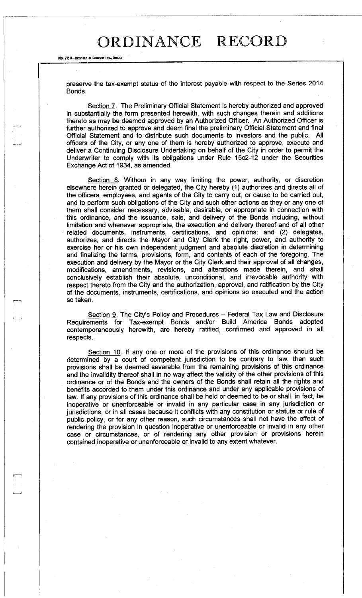No. 72 8-REDFIELD & COMPANY INC., OMAHA

preserve the tax-exempt status of the interest payable with respect to the Series 2014 Bonds.

Section 7. The Preliminary Official Statement is hereby authorized and approved in substantially the form presented herewith, with such changes therein and additions thereto as may be deemed approved by an Authorized Officer. An Authorized Officer is further authorized to approve and deem final the preliminary Official Statement and final Official Statement and to distribute such documents to investors and the public. All officers of the City, or any one of them is hereby authorized to approve, execute and deliver a Continuing Disclosure Undertaking on behalf of the City in order to permit the Underwriter to comply with its obligations under Rule 15c2-12 under the Securities Exchange Act of 1934, as amended.

Section 8. Without in any way limiting the power, authority, or discretion elsewhere herein granted or delegated, the City hereby (1) authorizes and directs all of the officers, employees, and agents of the City to carry out, or cause to be carried out, and to perform such obligations of the City and such other actions as they or any one of them shall consider necessary, advisable, desirable, or appropriate in connection with this ordinance, and the issuance, sale, and delivery of the Bonds including, without limitation and whenever appropriate, the execution and delivery thereof and of all other related documents, instruments, certifications, and opinions; and (2) delegates, authorizes, and directs the Mayor and City Clerk the right, power, and authority to exercise her or his own independent judgment and absolute discretion in determining and finalizing the terms, provisions, form, and contents of each of the foregoing. The execution and delivery by the Mayor or the City Clerk and their approval of all changes, modifications, amendments, revisions, and alterations made therein, and shall conclusively establish their absolute, unconditional, and irrevocable authority with respect thereto from the City and the authorization, approval, and ratification by the City of the documents, instruments, certifications, and opinions so executed and the action so taken.

Section 9. The City's Policy and Procedures – Federal Tax Law and Disclosure Requirements for Tax-exempt Bonds and/or Build America Bonds adopted contemporaneously herewith, are hereby ratified, confirmed and approved in all respects.

Section 10. If any one or more of the provisions of this ordinance should be determined by a court of competent jurisdiction to be contrary to law, then such provisions shall be deemed severable from the remaining provisions of this ordinance and the invalidity thereof shall in no way affect the validity of the other provisions of this ordinance or of the Bonds and the owners of the Bonds shall retain all the rights and benefits accorded to them under this ordinance and under any applicable provisions of law. If any provisions of this ordinance shall be held or deemed to be or shall, in fact, be inoperative or unenforceable or invalid in any particular case in any jurisdiction or jurisdictions, or in all cases because it conflicts with any constitution or statute or rule of public policy, or for any other reason, such circumstances shall not have the effect of rendering the provision in question inoperative or unenforceable or invalid in any other case or circumstances, or of rendering any other provision or provisions herein contained inoperative or unenforceable or invalid to any extent whatever.